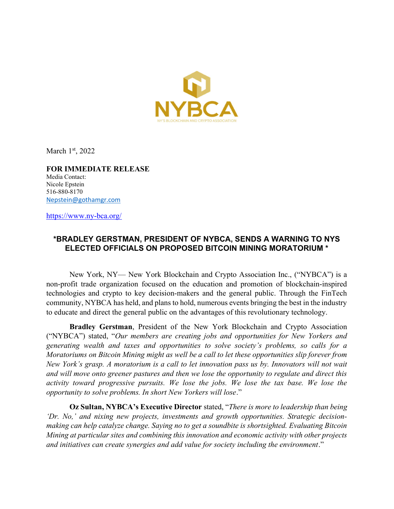

March  $1<sup>st</sup>$ , 2022

FOR IMMEDIATE RELEASE Media Contact: Nicole Epstein 516-880-8170 Nepstein@gothamgr.com

https://www.ny-bca.org/

## \*BRADLEY GERSTMAN, PRESIDENT OF NYBCA, SENDS A WARNING TO NYS ELECTED OFFICIALS ON PROPOSED BITCOIN MINING MORATORIUM \*

New York, NY— New York Blockchain and Crypto Association Inc., ("NYBCA") is a non-profit trade organization focused on the education and promotion of blockchain-inspired technologies and crypto to key decision-makers and the general public. Through the FinTech community, NYBCA has held, and plans to hold, numerous events bringing the best in the industry to educate and direct the general public on the advantages of this revolutionary technology.

Bradley Gerstman, President of the New York Blockchain and Crypto Association ("NYBCA") stated, "Our members are creating jobs and opportunities for New Yorkers and generating wealth and taxes and opportunities to solve society's problems, so calls for a Moratoriums on Bitcoin Mining might as well be a call to let these opportunities slip forever from New York's grasp. A moratorium is a call to let innovation pass us by. Innovators will not wait and will move onto greener pastures and then we lose the opportunity to regulate and direct this activity toward progressive pursuits. We lose the jobs. We lose the tax base. We lose the opportunity to solve problems. In short New Yorkers will lose."

Oz Sultan, NYBCA's Executive Director stated, "There is more to leadership than being 'Dr. No,' and nixing new projects, investments and growth opportunities. Strategic decisionmaking can help catalyze change. Saying no to get a soundbite is shortsighted. Evaluating Bitcoin Mining at particular sites and combining this innovation and economic activity with other projects and initiatives can create synergies and add value for society including the environment."